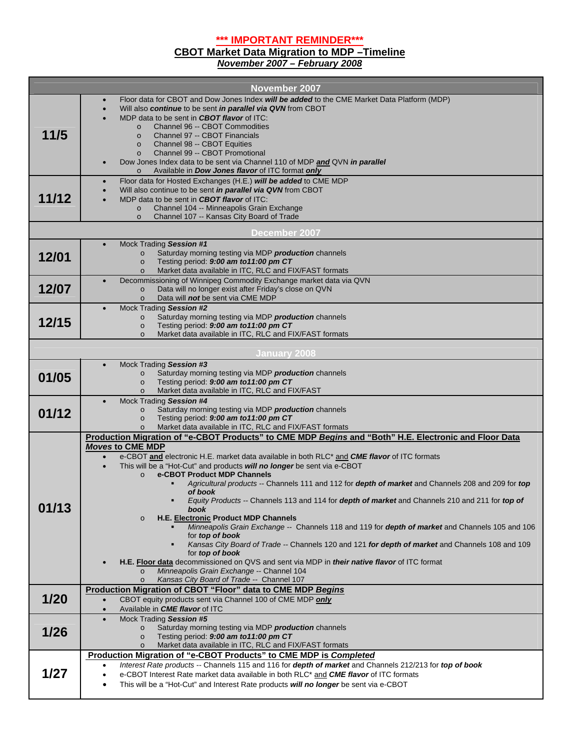**\*\*\* IMPORTANT REMINDER\*\*\***

## **CBOT Market Data Migration to MDP –Timeline**

*November 2007 – February 2008* 

| <b>November 2007</b>    |                                                                                                                                                                                                                                               |  |  |
|-------------------------|-----------------------------------------------------------------------------------------------------------------------------------------------------------------------------------------------------------------------------------------------|--|--|
|                         | Floor data for CBOT and Dow Jones Index will be added to the CME Market Data Platform (MDP)<br>$\bullet$                                                                                                                                      |  |  |
|                         | Will also continue to be sent in parallel via QVN from CBOT<br>$\bullet$<br>MDP data to be sent in <b>CBOT flavor</b> of ITC:                                                                                                                 |  |  |
|                         | Channel 96 -- CBOT Commodities<br>$\Omega$                                                                                                                                                                                                    |  |  |
| 11/5                    | Channel 97 -- CBOT Financials<br>$\circ$                                                                                                                                                                                                      |  |  |
|                         | Channel 98 -- CBOT Equities<br>$\circ$                                                                                                                                                                                                        |  |  |
|                         | Channel 99 -- CBOT Promotional<br>$\circ$                                                                                                                                                                                                     |  |  |
|                         | Dow Jones Index data to be sent via Channel 110 of MDP and QVN in parallel<br>Available in <b>Dow Jones flavor</b> of ITC format only<br>$\circ$                                                                                              |  |  |
|                         | Floor data for Hosted Exchanges (H.E.) will be added to CME MDP<br>$\bullet$                                                                                                                                                                  |  |  |
|                         | Will also continue to be sent in parallel via QVN from CBOT                                                                                                                                                                                   |  |  |
| 11/12                   | MDP data to be sent in CBOT flavor of ITC:<br>Channel 104 -- Minneapolis Grain Exchange<br>$\circ$                                                                                                                                            |  |  |
|                         | Channel 107 -- Kansas City Board of Trade<br>$\circ$                                                                                                                                                                                          |  |  |
| December 2007           |                                                                                                                                                                                                                                               |  |  |
| Mock Trading Session #1 |                                                                                                                                                                                                                                               |  |  |
| 12/01                   | Saturday morning testing via MDP production channels<br>$\circ$                                                                                                                                                                               |  |  |
|                         | Testing period: 9:00 am to11:00 pm CT<br>$\circ$<br>Market data available in ITC, RLC and FIX/FAST formats<br>$\circ$                                                                                                                         |  |  |
|                         | Decommissioning of Winnipeg Commodity Exchange market data via QVN<br>$\bullet$                                                                                                                                                               |  |  |
| 12/07                   | Data will no longer exist after Friday's close on QVN<br>$\circ$                                                                                                                                                                              |  |  |
|                         | Data will not be sent via CME MDP<br>$\circ$<br>Mock Trading Session #2                                                                                                                                                                       |  |  |
|                         | Saturday morning testing via MDP production channels<br>$\circ$                                                                                                                                                                               |  |  |
| 12/15                   | Testing period: 9:00 am to11:00 pm CT<br>$\circ$                                                                                                                                                                                              |  |  |
|                         | Market data available in ITC, RLC and FIX/FAST formats<br>$\circ$                                                                                                                                                                             |  |  |
|                         | <b>January 2008</b>                                                                                                                                                                                                                           |  |  |
|                         | Mock Trading Session #3<br>$\bullet$                                                                                                                                                                                                          |  |  |
| 01/05                   | Saturday morning testing via MDP production channels<br>$\circ$                                                                                                                                                                               |  |  |
|                         | Testing period: 9:00 am to11:00 pm CT<br>$\circ$<br>Market data available in ITC, RLC and FIX/FAST<br>$\circ$                                                                                                                                 |  |  |
|                         | Mock Trading Session #4<br>$\bullet$                                                                                                                                                                                                          |  |  |
| 01/12                   | Saturday morning testing via MDP production channels<br>$\circ$                                                                                                                                                                               |  |  |
|                         | Testing period: 9:00 am to11:00 pm CT<br>$\circ$<br>Market data available in ITC, RLC and FIX/FAST formats<br>$\Omega$                                                                                                                        |  |  |
|                         | Production Migration of "e-CBOT Products" to CME MDP Begins and "Both" H.E. Electronic and Floor Data                                                                                                                                         |  |  |
|                         | <b>Moves to CME MDP</b>                                                                                                                                                                                                                       |  |  |
|                         | e-CBOT and electronic H.E. market data available in both RLC <sup>*</sup> and <b>CME flavor</b> of ITC formats<br>$\bullet$                                                                                                                   |  |  |
|                         | This will be a "Hot-Cut" and products will no longer be sent via e-CBOT<br>e-CBOT Product MDP Channels<br>$\circ$                                                                                                                             |  |  |
|                         | Agricultural products -- Channels 111 and 112 for depth of market and Channels 208 and 209 for top                                                                                                                                            |  |  |
|                         | of book                                                                                                                                                                                                                                       |  |  |
| 01/13                   | Equity Products -- Channels 113 and 114 for depth of market and Channels 210 and 211 for top of<br>book                                                                                                                                       |  |  |
|                         | <b>H.E. Electronic Product MDP Channels</b><br>$\circ$                                                                                                                                                                                        |  |  |
|                         | Minneapolis Grain Exchange -- Channels 118 and 119 for depth of market and Channels 105 and 106                                                                                                                                               |  |  |
|                         | for <b>top of book</b><br>Kansas City Board of Trade -- Channels 120 and 121 for depth of market and Channels 108 and 109                                                                                                                     |  |  |
|                         | for top of book                                                                                                                                                                                                                               |  |  |
|                         | H.E. Floor data decommissioned on QVS and sent via MDP in <i>their native flavor</i> of ITC format                                                                                                                                            |  |  |
|                         | Minneapolis Grain Exchange -- Channel 104<br>$\circ$<br>Kansas City Board of Trade -- Channel 107<br>$\circ$                                                                                                                                  |  |  |
|                         | Production Migration of CBOT "Floor" data to CME MDP Begins                                                                                                                                                                                   |  |  |
| 1/20                    | CBOT equity products sent via Channel 100 of CME MDP only<br>$\bullet$                                                                                                                                                                        |  |  |
|                         | Available in <b>CME flavor</b> of ITC<br>$\bullet$                                                                                                                                                                                            |  |  |
| 1/26                    | Mock Trading Session #5<br>Saturday morning testing via MDP production channels                                                                                                                                                               |  |  |
|                         | $\circ$<br>Testing period: 9:00 am to11:00 pm CT<br>$\circ$                                                                                                                                                                                   |  |  |
|                         | Market data available in ITC, RLC and FIX/FAST formats<br>$\circ$                                                                                                                                                                             |  |  |
| 1/27                    | Production Migration of "e-CBOT Products" to CME MDP is Completed                                                                                                                                                                             |  |  |
|                         | Interest Rate products -- Channels 115 and 116 for depth of market and Channels 212/213 for top of book<br>$\bullet$<br>e-CBOT Interest Rate market data available in both RLC <sup>*</sup> and <b>CME flavor</b> of ITC formats<br>$\bullet$ |  |  |
|                         | This will be a "Hot-Cut" and Interest Rate products will no longer be sent via e-CBOT<br>$\bullet$                                                                                                                                            |  |  |
|                         |                                                                                                                                                                                                                                               |  |  |